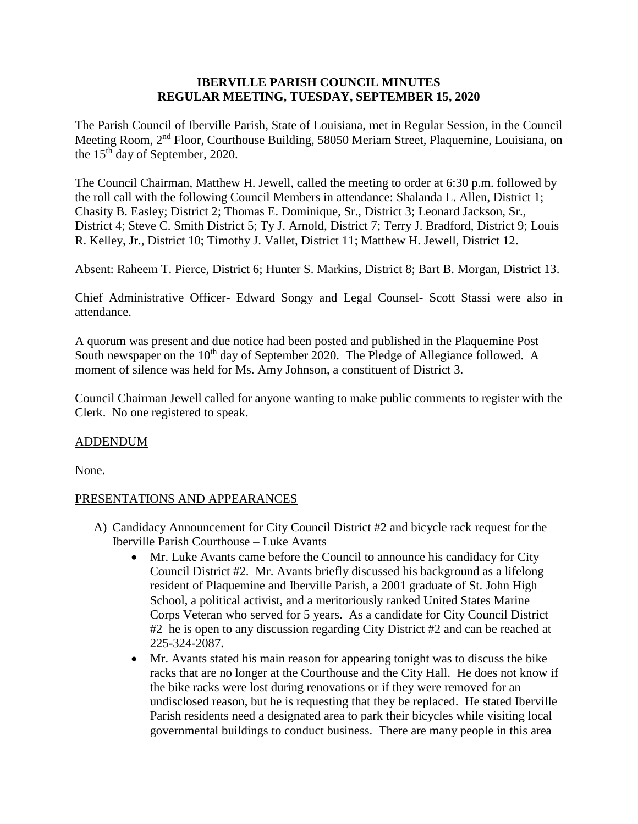## **IBERVILLE PARISH COUNCIL MINUTES REGULAR MEETING, TUESDAY, SEPTEMBER 15, 2020**

The Parish Council of Iberville Parish, State of Louisiana, met in Regular Session, in the Council Meeting Room, 2<sup>nd</sup> Floor, Courthouse Building, 58050 Meriam Street, Plaquemine, Louisiana, on the  $15<sup>th</sup>$  day of September, 2020.

The Council Chairman, Matthew H. Jewell, called the meeting to order at 6:30 p.m. followed by the roll call with the following Council Members in attendance: Shalanda L. Allen, District 1; Chasity B. Easley; District 2; Thomas E. Dominique, Sr., District 3; Leonard Jackson, Sr., District 4; Steve C. Smith District 5; Ty J. Arnold, District 7; Terry J. Bradford, District 9; Louis R. Kelley, Jr., District 10; Timothy J. Vallet, District 11; Matthew H. Jewell, District 12.

Absent: Raheem T. Pierce, District 6; Hunter S. Markins, District 8; Bart B. Morgan, District 13.

Chief Administrative Officer- Edward Songy and Legal Counsel- Scott Stassi were also in attendance.

A quorum was present and due notice had been posted and published in the Plaquemine Post South newspaper on the 10<sup>th</sup> day of September 2020. The Pledge of Allegiance followed. A moment of silence was held for Ms. Amy Johnson, a constituent of District 3.

Council Chairman Jewell called for anyone wanting to make public comments to register with the Clerk. No one registered to speak.

# ADDENDUM

None.

# PRESENTATIONS AND APPEARANCES

- A) Candidacy Announcement for City Council District #2 and bicycle rack request for the Iberville Parish Courthouse – Luke Avants
	- Mr. Luke Avants came before the Council to announce his candidacy for City Council District #2. Mr. Avants briefly discussed his background as a lifelong resident of Plaquemine and Iberville Parish, a 2001 graduate of St. John High School, a political activist, and a meritoriously ranked United States Marine Corps Veteran who served for 5 years. As a candidate for City Council District #2 he is open to any discussion regarding City District #2 and can be reached at 225-324-2087.
	- Mr. Avants stated his main reason for appearing tonight was to discuss the bike racks that are no longer at the Courthouse and the City Hall. He does not know if the bike racks were lost during renovations or if they were removed for an undisclosed reason, but he is requesting that they be replaced. He stated Iberville Parish residents need a designated area to park their bicycles while visiting local governmental buildings to conduct business. There are many people in this area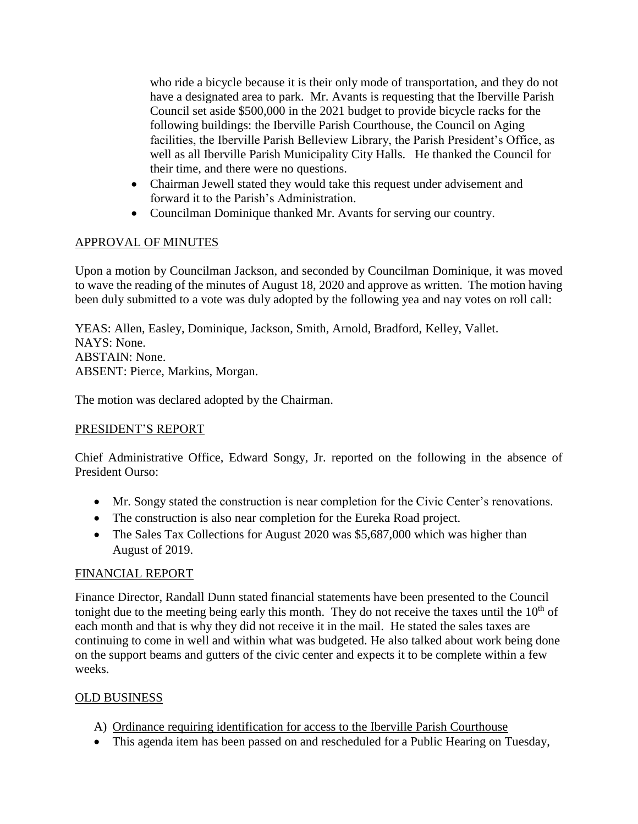who ride a bicycle because it is their only mode of transportation, and they do not have a designated area to park. Mr. Avants is requesting that the Iberville Parish Council set aside \$500,000 in the 2021 budget to provide bicycle racks for the following buildings: the Iberville Parish Courthouse, the Council on Aging facilities, the Iberville Parish Belleview Library, the Parish President's Office, as well as all Iberville Parish Municipality City Halls. He thanked the Council for their time, and there were no questions.

- Chairman Jewell stated they would take this request under advisement and forward it to the Parish's Administration.
- Councilman Dominique thanked Mr. Avants for serving our country.

# APPROVAL OF MINUTES

Upon a motion by Councilman Jackson, and seconded by Councilman Dominique, it was moved to wave the reading of the minutes of August 18, 2020 and approve as written. The motion having been duly submitted to a vote was duly adopted by the following yea and nay votes on roll call:

YEAS: Allen, Easley, Dominique, Jackson, Smith, Arnold, Bradford, Kelley, Vallet. NAYS: None. ABSTAIN: None. ABSENT: Pierce, Markins, Morgan.

The motion was declared adopted by the Chairman.

# PRESIDENT'S REPORT

Chief Administrative Office, Edward Songy, Jr. reported on the following in the absence of President Ourso:

- Mr. Songy stated the construction is near completion for the Civic Center's renovations.
- The construction is also near completion for the Eureka Road project.
- The Sales Tax Collections for August 2020 was \$5,687,000 which was higher than August of 2019.

# FINANCIAL REPORT

Finance Director, Randall Dunn stated financial statements have been presented to the Council tonight due to the meeting being early this month. They do not receive the taxes until the  $10<sup>th</sup>$  of each month and that is why they did not receive it in the mail. He stated the sales taxes are continuing to come in well and within what was budgeted. He also talked about work being done on the support beams and gutters of the civic center and expects it to be complete within a few weeks.

# OLD BUSINESS

- A) Ordinance requiring identification for access to the Iberville Parish Courthouse
- This agenda item has been passed on and rescheduled for a Public Hearing on Tuesday,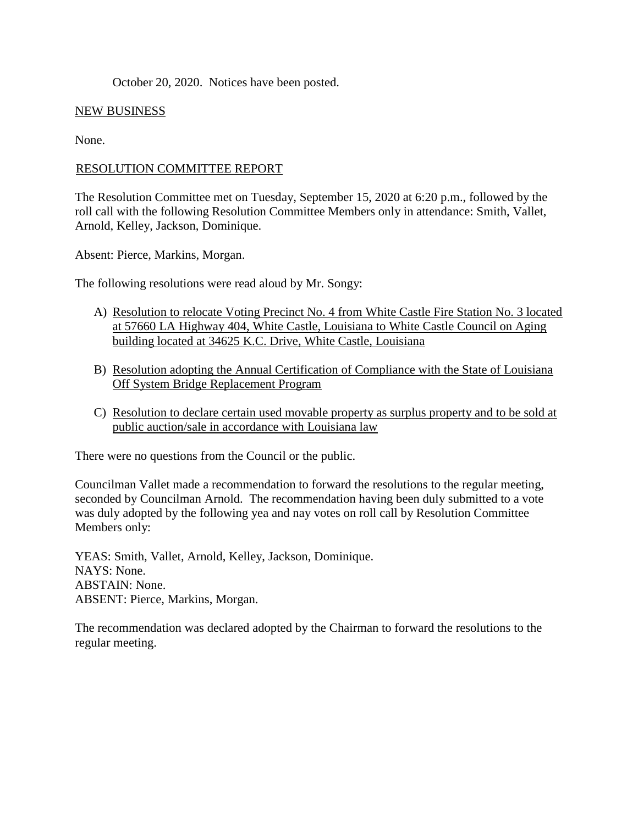October 20, 2020. Notices have been posted.

## NEW BUSINESS

None.

## RESOLUTION COMMITTEE REPORT

The Resolution Committee met on Tuesday, September 15, 2020 at 6:20 p.m., followed by the roll call with the following Resolution Committee Members only in attendance: Smith, Vallet, Arnold, Kelley, Jackson, Dominique.

Absent: Pierce, Markins, Morgan.

The following resolutions were read aloud by Mr. Songy:

- A) Resolution to relocate Voting Precinct No. 4 from White Castle Fire Station No. 3 located at 57660 LA Highway 404, White Castle, Louisiana to White Castle Council on Aging building located at 34625 K.C. Drive, White Castle, Louisiana
- B) Resolution adopting the Annual Certification of Compliance with the State of Louisiana Off System Bridge Replacement Program
- C) Resolution to declare certain used movable property as surplus property and to be sold at public auction/sale in accordance with Louisiana law

There were no questions from the Council or the public.

Councilman Vallet made a recommendation to forward the resolutions to the regular meeting, seconded by Councilman Arnold. The recommendation having been duly submitted to a vote was duly adopted by the following yea and nay votes on roll call by Resolution Committee Members only:

YEAS: Smith, Vallet, Arnold, Kelley, Jackson, Dominique. NAYS: None. ABSTAIN: None. ABSENT: Pierce, Markins, Morgan.

The recommendation was declared adopted by the Chairman to forward the resolutions to the regular meeting.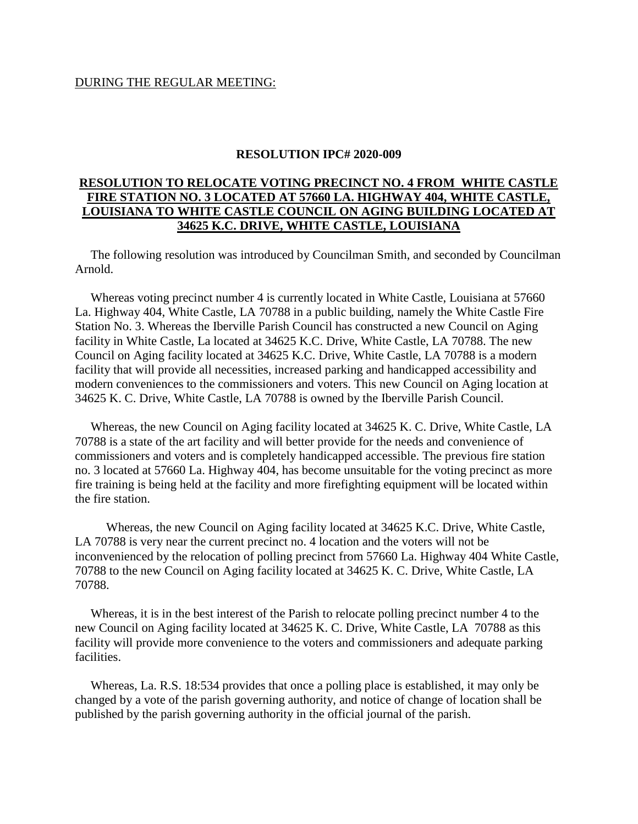#### DURING THE REGULAR MEETING:

#### **RESOLUTION IPC# 2020-009**

## **RESOLUTION TO RELOCATE VOTING PRECINCT NO. 4 FROM WHITE CASTLE FIRE STATION NO. 3 LOCATED AT 57660 LA. HIGHWAY 404, WHITE CASTLE, LOUISIANA TO WHITE CASTLE COUNCIL ON AGING BUILDING LOCATED AT 34625 K.C. DRIVE, WHITE CASTLE, LOUISIANA**

 The following resolution was introduced by Councilman Smith, and seconded by Councilman Arnold.

 Whereas voting precinct number 4 is currently located in White Castle, Louisiana at 57660 La. Highway 404, White Castle, LA 70788 in a public building, namely the White Castle Fire Station No. 3. Whereas the Iberville Parish Council has constructed a new Council on Aging facility in White Castle, La located at 34625 K.C. Drive, White Castle, LA 70788. The new Council on Aging facility located at 34625 K.C. Drive, White Castle, LA 70788 is a modern facility that will provide all necessities, increased parking and handicapped accessibility and modern conveniences to the commissioners and voters. This new Council on Aging location at 34625 K. C. Drive, White Castle, LA 70788 is owned by the Iberville Parish Council.

 Whereas, the new Council on Aging facility located at 34625 K. C. Drive, White Castle, LA 70788 is a state of the art facility and will better provide for the needs and convenience of commissioners and voters and is completely handicapped accessible. The previous fire station no. 3 located at 57660 La. Highway 404, has become unsuitable for the voting precinct as more fire training is being held at the facility and more firefighting equipment will be located within the fire station.

 Whereas, the new Council on Aging facility located at 34625 K.C. Drive, White Castle, LA 70788 is very near the current precinct no. 4 location and the voters will not be inconvenienced by the relocation of polling precinct from 57660 La. Highway 404 White Castle, 70788 to the new Council on Aging facility located at 34625 K. C. Drive, White Castle, LA 70788.

 Whereas, it is in the best interest of the Parish to relocate polling precinct number 4 to the new Council on Aging facility located at 34625 K. C. Drive, White Castle, LA 70788 as this facility will provide more convenience to the voters and commissioners and adequate parking facilities.

 Whereas, La. R.S. 18:534 provides that once a polling place is established, it may only be changed by a vote of the parish governing authority, and notice of change of location shall be published by the parish governing authority in the official journal of the parish.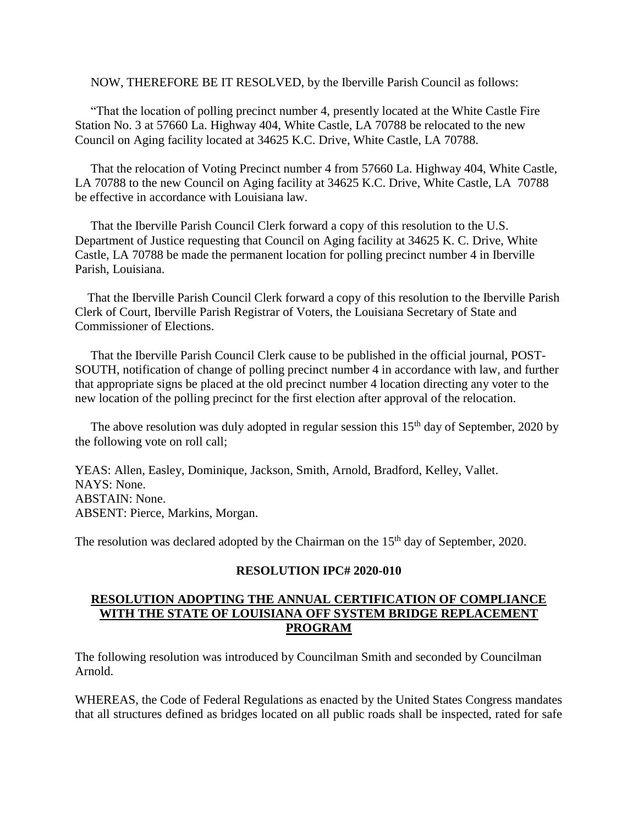NOW, THEREFORE BE IT RESOLVED, by the Iberville Parish Council as follows:

 "That the location of polling precinct number 4, presently located at the White Castle Fire Station No. 3 at 57660 La. Highway 404, White Castle, LA 70788 be relocated to the new Council on Aging facility located at 34625 K.C. Drive, White Castle, LA 70788.

 That the relocation of Voting Precinct number 4 from 57660 La. Highway 404, White Castle, LA 70788 to the new Council on Aging facility at 34625 K.C. Drive, White Castle, LA 70788 be effective in accordance with Louisiana law.

 That the Iberville Parish Council Clerk forward a copy of this resolution to the U.S. Department of Justice requesting that Council on Aging facility at 34625 K. C. Drive, White Castle, LA 70788 be made the permanent location for polling precinct number 4 in Iberville Parish, Louisiana.

 That the Iberville Parish Council Clerk forward a copy of this resolution to the Iberville Parish Clerk of Court, Iberville Parish Registrar of Voters, the Louisiana Secretary of State and Commissioner of Elections.

 That the Iberville Parish Council Clerk cause to be published in the official journal, POST-SOUTH, notification of change of polling precinct number 4 in accordance with law, and further that appropriate signs be placed at the old precinct number 4 location directing any voter to the new location of the polling precinct for the first election after approval of the relocation.

The above resolution was duly adopted in regular session this  $15<sup>th</sup>$  day of September, 2020 by the following vote on roll call;

YEAS: Allen, Easley, Dominique, Jackson, Smith, Arnold, Bradford, Kelley, Vallet. NAYS: None. ABSTAIN: None. ABSENT: Pierce, Markins, Morgan.

The resolution was declared adopted by the Chairman on the  $15<sup>th</sup>$  day of September, 2020.

#### **RESOLUTION IPC# 2020-010**

### **RESOLUTION ADOPTING THE ANNUAL CERTIFICATION OF COMPLIANCE WITH THE STATE OF LOUISIANA OFF SYSTEM BRIDGE REPLACEMENT PROGRAM**

The following resolution was introduced by Councilman Smith and seconded by Councilman Arnold.

WHEREAS, the Code of Federal Regulations as enacted by the United States Congress mandates that all structures defined as bridges located on all public roads shall be inspected, rated for safe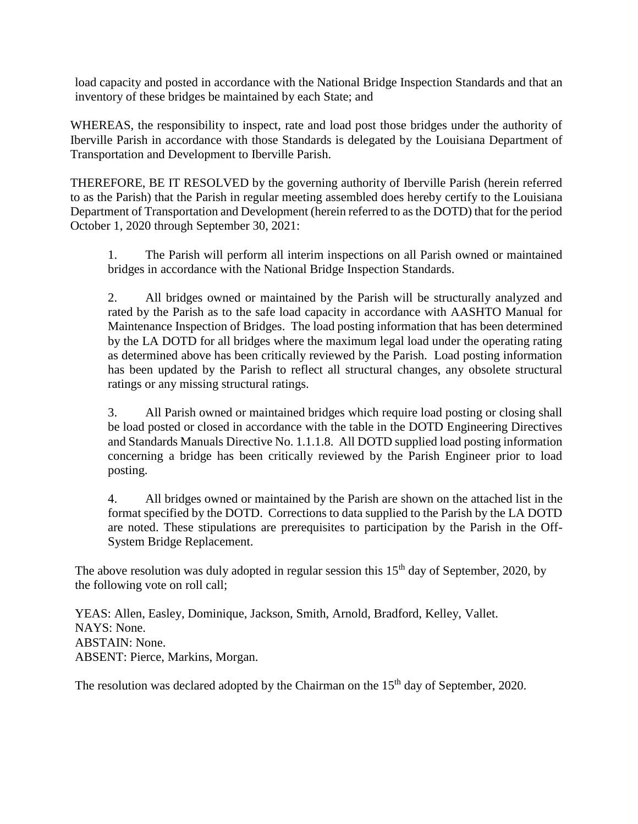load capacity and posted in accordance with the National Bridge Inspection Standards and that an inventory of these bridges be maintained by each State; and

WHEREAS, the responsibility to inspect, rate and load post those bridges under the authority of Iberville Parish in accordance with those Standards is delegated by the Louisiana Department of Transportation and Development to Iberville Parish.

THEREFORE, BE IT RESOLVED by the governing authority of Iberville Parish (herein referred to as the Parish) that the Parish in regular meeting assembled does hereby certify to the Louisiana Department of Transportation and Development (herein referred to as the DOTD) that for the period October 1, 2020 through September 30, 2021:

1. The Parish will perform all interim inspections on all Parish owned or maintained bridges in accordance with the National Bridge Inspection Standards.

2. All bridges owned or maintained by the Parish will be structurally analyzed and rated by the Parish as to the safe load capacity in accordance with AASHTO Manual for Maintenance Inspection of Bridges. The load posting information that has been determined by the LA DOTD for all bridges where the maximum legal load under the operating rating as determined above has been critically reviewed by the Parish. Load posting information has been updated by the Parish to reflect all structural changes, any obsolete structural ratings or any missing structural ratings.

3. All Parish owned or maintained bridges which require load posting or closing shall be load posted or closed in accordance with the table in the DOTD Engineering Directives and Standards Manuals Directive No. 1.1.1.8. All DOTD supplied load posting information concerning a bridge has been critically reviewed by the Parish Engineer prior to load posting.

4. All bridges owned or maintained by the Parish are shown on the attached list in the format specified by the DOTD. Corrections to data supplied to the Parish by the LA DOTD are noted. These stipulations are prerequisites to participation by the Parish in the Off-System Bridge Replacement.

The above resolution was duly adopted in regular session this  $15<sup>th</sup>$  day of September, 2020, by the following vote on roll call;

YEAS: Allen, Easley, Dominique, Jackson, Smith, Arnold, Bradford, Kelley, Vallet. NAYS: None. ABSTAIN: None. ABSENT: Pierce, Markins, Morgan.

The resolution was declared adopted by the Chairman on the  $15<sup>th</sup>$  day of September, 2020.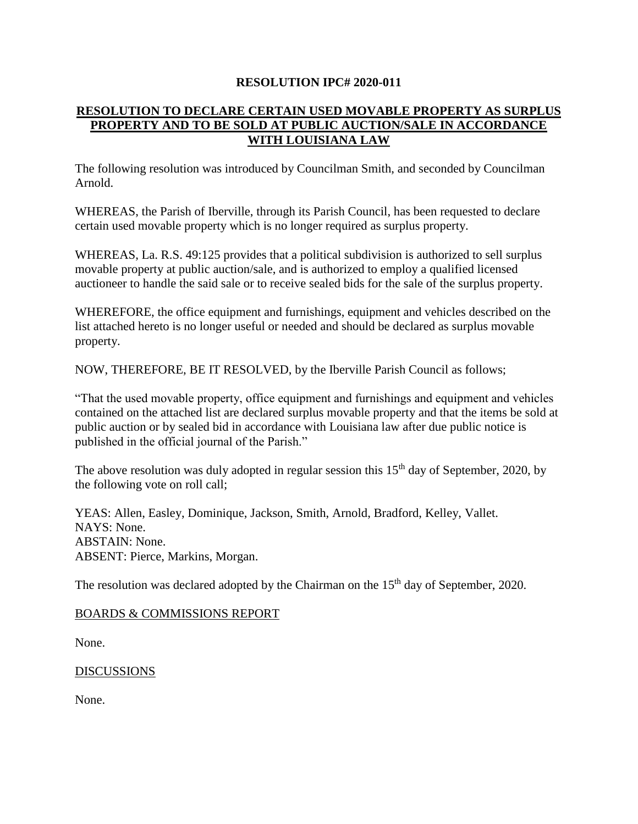## **RESOLUTION IPC# 2020-011**

# **RESOLUTION TO DECLARE CERTAIN USED MOVABLE PROPERTY AS SURPLUS PROPERTY AND TO BE SOLD AT PUBLIC AUCTION/SALE IN ACCORDANCE WITH LOUISIANA LAW**

The following resolution was introduced by Councilman Smith, and seconded by Councilman Arnold.

WHEREAS, the Parish of Iberville, through its Parish Council, has been requested to declare certain used movable property which is no longer required as surplus property.

WHEREAS, La. R.S. 49:125 provides that a political subdivision is authorized to sell surplus movable property at public auction/sale, and is authorized to employ a qualified licensed auctioneer to handle the said sale or to receive sealed bids for the sale of the surplus property.

WHEREFORE, the office equipment and furnishings, equipment and vehicles described on the list attached hereto is no longer useful or needed and should be declared as surplus movable property.

NOW, THEREFORE, BE IT RESOLVED, by the Iberville Parish Council as follows;

"That the used movable property, office equipment and furnishings and equipment and vehicles contained on the attached list are declared surplus movable property and that the items be sold at public auction or by sealed bid in accordance with Louisiana law after due public notice is published in the official journal of the Parish."

The above resolution was duly adopted in regular session this  $15<sup>th</sup>$  day of September, 2020, by the following vote on roll call;

YEAS: Allen, Easley, Dominique, Jackson, Smith, Arnold, Bradford, Kelley, Vallet. NAYS: None. ABSTAIN: None. ABSENT: Pierce, Markins, Morgan.

The resolution was declared adopted by the Chairman on the 15<sup>th</sup> day of September, 2020.

### BOARDS & COMMISSIONS REPORT

None.

DISCUSSIONS

None.